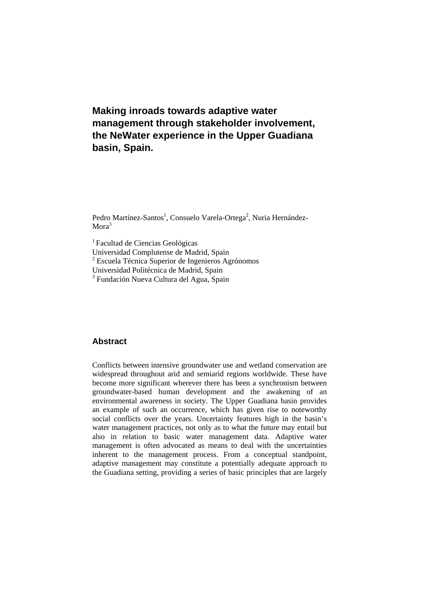# **Making inroads towards adaptive water management through stakeholder involvement, the NeWater experience in the Upper Guadiana basin, Spain.**

Pedro Martínez-Santos<sup>1</sup>, Consuelo Varela-Ortega<sup>2</sup>, Nuria Hernández-Mora<sup>3</sup>

1 Facultad de Ciencias Geológicas

Universidad Complutense de Madrid, Spain

2 Escuela Técnica Superior de Ingenieros Agrónomos

Universidad Politécnica de Madrid, Spain

<sup>3</sup> Fundación Nueva Cultura del Agua, Spain

## **Abstract**

Conflicts between intensive groundwater use and wetland conservation are widespread throughout arid and semiarid regions worldwide. These have become more significant wherever there has been a synchronism between groundwater-based human development and the awakening of an environmental awareness in society. The Upper Guadiana basin provides an example of such an occurrence, which has given rise to noteworthy social conflicts over the years. Uncertainty features high in the basin's water management practices, not only as to what the future may entail but also in relation to basic water management data. Adaptive water management is often advocated as means to deal with the uncertainties inherent to the management process. From a conceptual standpoint, adaptive management may constitute a potentially adequate approach to the Guadiana setting, providing a series of basic principles that are largely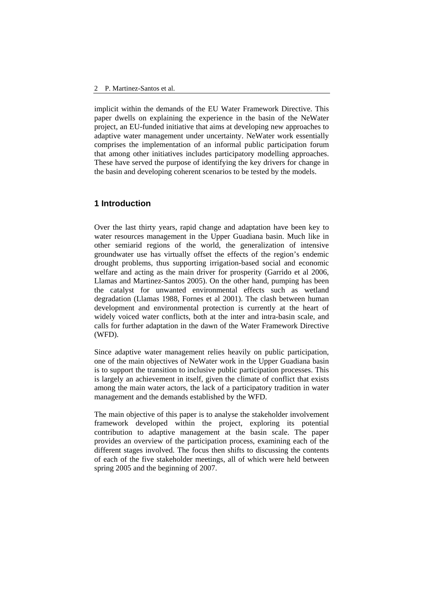implicit within the demands of the EU Water Framework Directive. This paper dwells on explaining the experience in the basin of the NeWater project, an EU-funded initiative that aims at developing new approaches to adaptive water management under uncertainty. NeWater work essentially comprises the implementation of an informal public participation forum that among other initiatives includes participatory modelling approaches. These have served the purpose of identifying the key drivers for change in the basin and developing coherent scenarios to be tested by the models.

#### **1 Introduction**

Over the last thirty years, rapid change and adaptation have been key to water resources management in the Upper Guadiana basin. Much like in other semiarid regions of the world, the generalization of intensive groundwater use has virtually offset the effects of the region's endemic drought problems, thus supporting irrigation-based social and economic welfare and acting as the main driver for prosperity (Garrido et al 2006, Llamas and Martinez-Santos 2005). On the other hand, pumping has been the catalyst for unwanted environmental effects such as wetland degradation (Llamas 1988, Fornes et al 2001). The clash between human development and environmental protection is currently at the heart of widely voiced water conflicts, both at the inter and intra-basin scale, and calls for further adaptation in the dawn of the Water Framework Directive (WFD).

Since adaptive water management relies heavily on public participation, one of the main objectives of NeWater work in the Upper Guadiana basin is to support the transition to inclusive public participation processes. This is largely an achievement in itself, given the climate of conflict that exists among the main water actors, the lack of a participatory tradition in water management and the demands established by the WFD.

The main objective of this paper is to analyse the stakeholder involvement framework developed within the project, exploring its potential contribution to adaptive management at the basin scale. The paper provides an overview of the participation process, examining each of the different stages involved. The focus then shifts to discussing the contents of each of the five stakeholder meetings, all of which were held between spring 2005 and the beginning of 2007.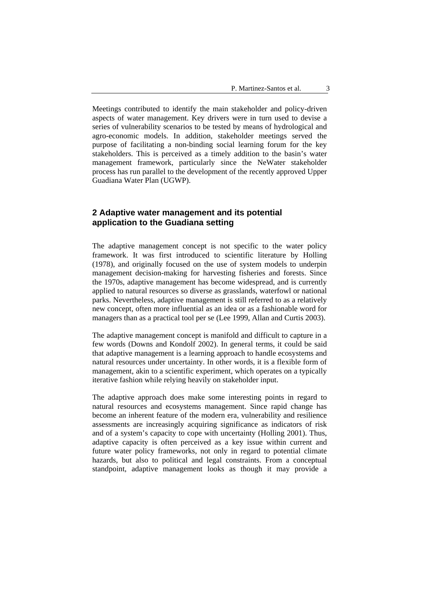Meetings contributed to identify the main stakeholder and policy-driven aspects of water management. Key drivers were in turn used to devise a series of vulnerability scenarios to be tested by means of hydrological and agro-economic models. In addition, stakeholder meetings served the purpose of facilitating a non-binding social learning forum for the key stakeholders. This is perceived as a timely addition to the basin's water management framework, particularly since the NeWater stakeholder process has run parallel to the development of the recently approved Upper Guadiana Water Plan (UGWP).

# **2 Adaptive water management and its potential application to the Guadiana setting**

The adaptive management concept is not specific to the water policy framework. It was first introduced to scientific literature by Holling (1978), and originally focused on the use of system models to underpin management decision-making for harvesting fisheries and forests. Since the 1970s, adaptive management has become widespread, and is currently applied to natural resources so diverse as grasslands, waterfowl or national parks. Nevertheless, adaptive management is still referred to as a relatively new concept, often more influential as an idea or as a fashionable word for managers than as a practical tool per se (Lee 1999, Allan and Curtis 2003).

The adaptive management concept is manifold and difficult to capture in a few words (Downs and Kondolf 2002). In general terms, it could be said that adaptive management is a learning approach to handle ecosystems and natural resources under uncertainty. In other words, it is a flexible form of management, akin to a scientific experiment, which operates on a typically iterative fashion while relying heavily on stakeholder input.

The adaptive approach does make some interesting points in regard to natural resources and ecosystems management. Since rapid change has become an inherent feature of the modern era, vulnerability and resilience assessments are increasingly acquiring significance as indicators of risk and of a system's capacity to cope with uncertainty (Holling 2001). Thus, adaptive capacity is often perceived as a key issue within current and future water policy frameworks, not only in regard to potential climate hazards, but also to political and legal constraints. From a conceptual standpoint, adaptive management looks as though it may provide a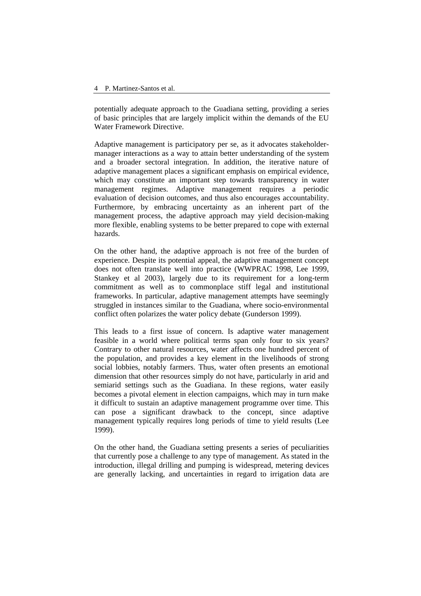potentially adequate approach to the Guadiana setting, providing a series of basic principles that are largely implicit within the demands of the EU Water Framework Directive.

Adaptive management is participatory per se, as it advocates stakeholdermanager interactions as a way to attain better understanding of the system and a broader sectoral integration. In addition, the iterative nature of adaptive management places a significant emphasis on empirical evidence, which may constitute an important step towards transparency in water management regimes. Adaptive management requires a periodic evaluation of decision outcomes, and thus also encourages accountability. Furthermore, by embracing uncertainty as an inherent part of the management process, the adaptive approach may yield decision-making more flexible, enabling systems to be better prepared to cope with external hazards.

On the other hand, the adaptive approach is not free of the burden of experience. Despite its potential appeal, the adaptive management concept does not often translate well into practice (WWPRAC 1998, Lee 1999, Stankey et al 2003), largely due to its requirement for a long-term commitment as well as to commonplace stiff legal and institutional frameworks. In particular, adaptive management attempts have seemingly struggled in instances similar to the Guadiana, where socio-environmental conflict often polarizes the water policy debate (Gunderson 1999).

This leads to a first issue of concern. Is adaptive water management feasible in a world where political terms span only four to six years? Contrary to other natural resources, water affects one hundred percent of the population, and provides a key element in the livelihoods of strong social lobbies, notably farmers. Thus, water often presents an emotional dimension that other resources simply do not have, particularly in arid and semiarid settings such as the Guadiana. In these regions, water easily becomes a pivotal element in election campaigns, which may in turn make it difficult to sustain an adaptive management programme over time. This can pose a significant drawback to the concept, since adaptive management typically requires long periods of time to yield results (Lee 1999).

On the other hand, the Guadiana setting presents a series of peculiarities that currently pose a challenge to any type of management. As stated in the introduction, illegal drilling and pumping is widespread, metering devices are generally lacking, and uncertainties in regard to irrigation data are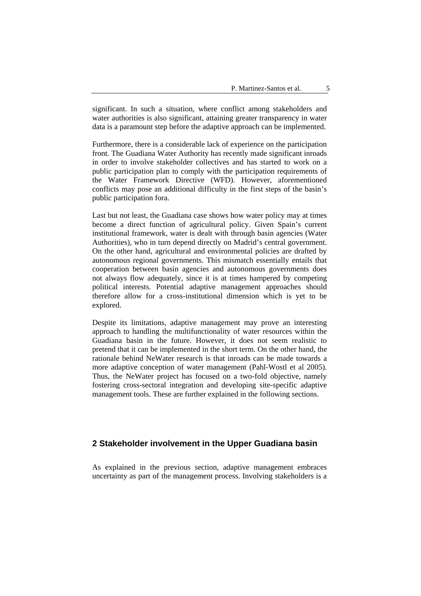significant. In such a situation, where conflict among stakeholders and water authorities is also significant, attaining greater transparency in water data is a paramount step before the adaptive approach can be implemented.

Furthermore, there is a considerable lack of experience on the participation front. The Guadiana Water Authority has recently made significant inroads in order to involve stakeholder collectives and has started to work on a public participation plan to comply with the participation requirements of the Water Framework Directive (WFD). However, aforementioned conflicts may pose an additional difficulty in the first steps of the basin's public participation fora.

Last but not least, the Guadiana case shows how water policy may at times become a direct function of agricultural policy. Given Spain's current institutional framework, water is dealt with through basin agencies (Water Authorities), who in turn depend directly on Madrid's central government. On the other hand, agricultural and environmental policies are drafted by autonomous regional governments. This mismatch essentially entails that cooperation between basin agencies and autonomous governments does not always flow adequately, since it is at times hampered by competing political interests. Potential adaptive management approaches should therefore allow for a cross-institutional dimension which is yet to be explored.

Despite its limitations, adaptive management may prove an interesting approach to handling the multifunctionality of water resources within the Guadiana basin in the future. However, it does not seem realistic to pretend that it can be implemented in the short term. On the other hand, the rationale behind NeWater research is that inroads can be made towards a more adaptive conception of water management (Pahl-Wostl et al 2005). Thus, the NeWater project has focused on a two-fold objective, namely fostering cross-sectoral integration and developing site-specific adaptive management tools. These are further explained in the following sections.

## **2 Stakeholder involvement in the Upper Guadiana basin**

As explained in the previous section, adaptive management embraces uncertainty as part of the management process. Involving stakeholders is a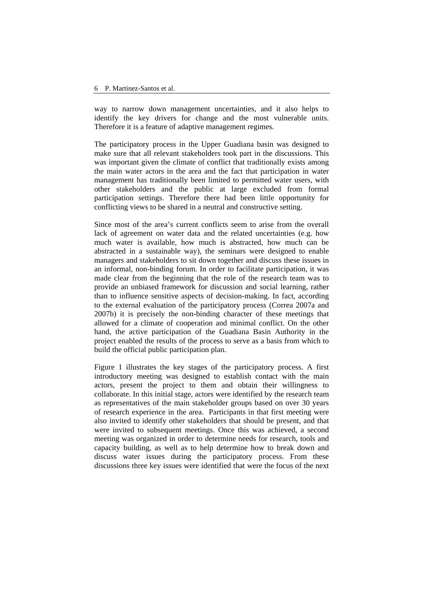way to narrow down management uncertainties, and it also helps to identify the key drivers for change and the most vulnerable units. Therefore it is a feature of adaptive management regimes.

The participatory process in the Upper Guadiana basin was designed to make sure that all relevant stakeholders took part in the discussions. This was important given the climate of conflict that traditionally exists among the main water actors in the area and the fact that participation in water management has traditionally been limited to permitted water users, with other stakeholders and the public at large excluded from formal participation settings. Therefore there had been little opportunity for conflicting views to be shared in a neutral and constructive setting.

Since most of the area's current conflicts seem to arise from the overall lack of agreement on water data and the related uncertainties (e.g. how much water is available, how much is abstracted, how much can be abstracted in a sustainable way), the seminars were designed to enable managers and stakeholders to sit down together and discuss these issues in an informal, non-binding forum. In order to facilitate participation, it was made clear from the beginning that the role of the research team was to provide an unbiased framework for discussion and social learning, rather than to influence sensitive aspects of decision-making. In fact, according to the external evaluation of the participatory process (Correa 2007a and 2007b) it is precisely the non-binding character of these meetings that allowed for a climate of cooperation and minimal conflict. On the other hand, the active participation of the Guadiana Basin Authority in the project enabled the results of the process to serve as a basis from which to build the official public participation plan.

Figure 1 illustrates the key stages of the participatory process. A first introductory meeting was designed to establish contact with the main actors, present the project to them and obtain their willingness to collaborate. In this initial stage, actors were identified by the research team as representatives of the main stakeholder groups based on over 30 years of research experience in the area. Participants in that first meeting were also invited to identify other stakeholders that should be present, and that were invited to subsequent meetings. Once this was achieved, a second meeting was organized in order to determine needs for research, tools and capacity building, as well as to help determine how to break down and discuss water issues during the participatory process. From these discussions three key issues were identified that were the focus of the next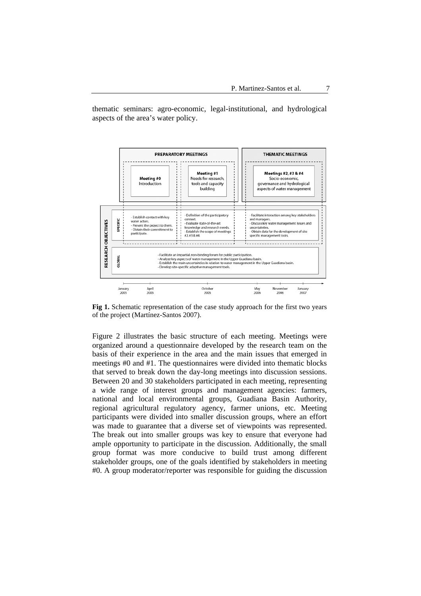thematic seminars: agro-economic, legal-institutional, and hydrological aspects of the area's water policy.



**Fig 1.** Schematic representation of the case study approach for the first two years of the project (Martínez-Santos 2007).

Figure 2 illustrates the basic structure of each meeting. Meetings were organized around a questionnaire developed by the research team on the basis of their experience in the area and the main issues that emerged in meetings #0 and #1. The questionnaires were divided into thematic blocks that served to break down the day-long meetings into discussion sessions. Between 20 and 30 stakeholders participated in each meeting, representing a wide range of interest groups and management agencies: farmers, national and local environmental groups, Guadiana Basin Authority, regional agricultural regulatory agency, farmer unions, etc. Meeting participants were divided into smaller discussion groups, where an effort was made to guarantee that a diverse set of viewpoints was represented. The break out into smaller groups was key to ensure that everyone had ample opportunity to participate in the discussion. Additionally, the small group format was more conducive to build trust among different stakeholder groups, one of the goals identified by stakeholders in meeting #0. A group moderator/reporter was responsible for guiding the discussion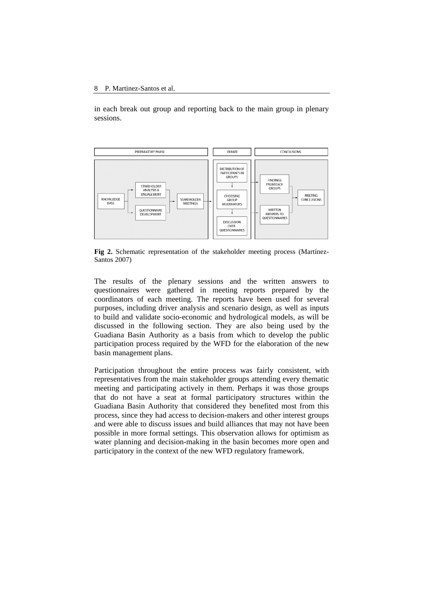in each break out group and reporting back to the main group in plenary sessions.



**Fig 2.** Schematic representation of the stakeholder meeting process (Martínez-Santos 2007)

The results of the plenary sessions and the written answers to questionnaires were gathered in meeting reports prepared by the coordinators of each meeting. The reports have been used for several purposes, including driver analysis and scenario design, as well as inputs to build and validate socio-economic and hydrological models, as will be discussed in the following section. They are also being used by the Guadiana Basin Authority as a basis from which to develop the public participation process required by the WFD for the elaboration of the new basin management plans.

Participation throughout the entire process was fairly consistent, with representatives from the main stakeholder groups attending every thematic meeting and participating actively in them. Perhaps it was those groups that do not have a seat at formal participatory structures within the Guadiana Basin Authority that considered they benefited most from this process, since they had access to decision-makers and other interest groups and were able to discuss issues and build alliances that may not have been possible in more formal settings. This observation allows for optimism as water planning and decision-making in the basin becomes more open and participatory in the context of the new WFD regulatory framework.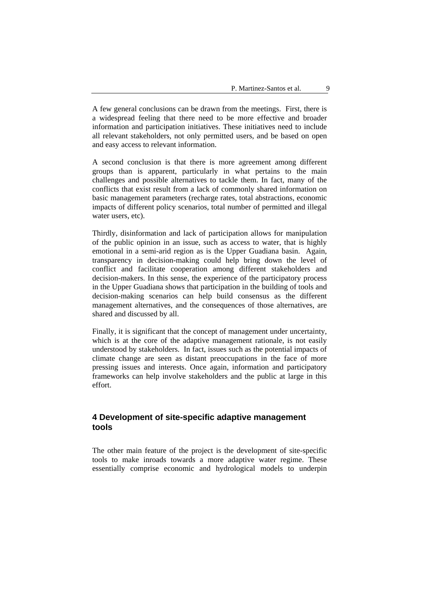A few general conclusions can be drawn from the meetings. First, there is a widespread feeling that there need to be more effective and broader information and participation initiatives. These initiatives need to include all relevant stakeholders, not only permitted users, and be based on open and easy access to relevant information.

A second conclusion is that there is more agreement among different groups than is apparent, particularly in what pertains to the main challenges and possible alternatives to tackle them. In fact, many of the conflicts that exist result from a lack of commonly shared information on basic management parameters (recharge rates, total abstractions, economic impacts of different policy scenarios, total number of permitted and illegal water users, etc).

Thirdly, disinformation and lack of participation allows for manipulation of the public opinion in an issue, such as access to water, that is highly emotional in a semi-arid region as is the Upper Guadiana basin. Again, transparency in decision-making could help bring down the level of conflict and facilitate cooperation among different stakeholders and decision-makers. In this sense, the experience of the participatory process in the Upper Guadiana shows that participation in the building of tools and decision-making scenarios can help build consensus as the different management alternatives, and the consequences of those alternatives, are shared and discussed by all.

Finally, it is significant that the concept of management under uncertainty. which is at the core of the adaptive management rationale, is not easily understood by stakeholders. In fact, issues such as the potential impacts of climate change are seen as distant preoccupations in the face of more pressing issues and interests. Once again, information and participatory frameworks can help involve stakeholders and the public at large in this effort.

# **4 Development of site-specific adaptive management tools**

The other main feature of the project is the development of site-specific tools to make inroads towards a more adaptive water regime. These essentially comprise economic and hydrological models to underpin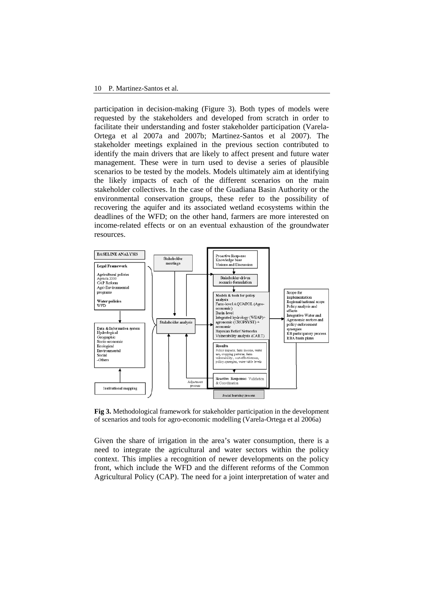#### 10 P. Martinez-Santos et al.

participation in decision-making (Figure 3). Both types of models were requested by the stakeholders and developed from scratch in order to facilitate their understanding and foster stakeholder participation (Varela-Ortega et al 2007a and 2007b; Martinez-Santos et al 2007). The stakeholder meetings explained in the previous section contributed to identify the main drivers that are likely to affect present and future water management. These were in turn used to devise a series of plausible scenarios to be tested by the models. Models ultimately aim at identifying the likely impacts of each of the different scenarios on the main stakeholder collectives. In the case of the Guadiana Basin Authority or the environmental conservation groups, these refer to the possibility of recovering the aquifer and its associated wetland ecosystems within the deadlines of the WFD; on the other hand, farmers are more interested on income-related effects or on an eventual exhaustion of the groundwater resources.



**Fig 3.** Methodological framework for stakeholder participation in the development of scenarios and tools for agro-economic modelling (Varela-Ortega et al 2006a)

Given the share of irrigation in the area's water consumption, there is a need to integrate the agricultural and water sectors within the policy context. This implies a recognition of newer developments on the policy front, which include the WFD and the different reforms of the Common Agricultural Policy (CAP). The need for a joint interpretation of water and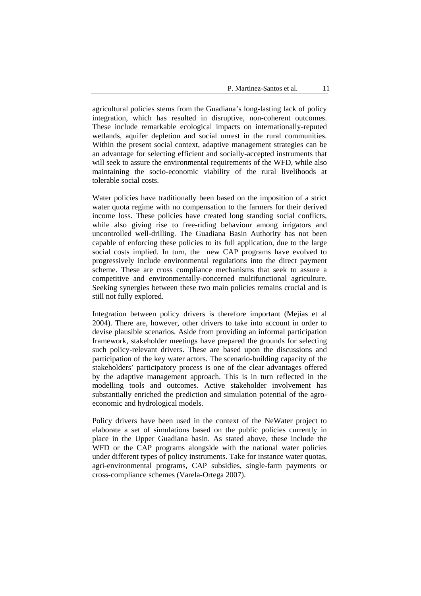agricultural policies stems from the Guadiana's long-lasting lack of policy integration, which has resulted in disruptive, non-coherent outcomes. These include remarkable ecological impacts on internationally-reputed wetlands, aquifer depletion and social unrest in the rural communities. Within the present social context, adaptive management strategies can be an advantage for selecting efficient and socially-accepted instruments that will seek to assure the environmental requirements of the WFD, while also maintaining the socio-economic viability of the rural livelihoods at tolerable social costs.

Water policies have traditionally been based on the imposition of a strict water quota regime with no compensation to the farmers for their derived income loss. These policies have created long standing social conflicts, while also giving rise to free-riding behaviour among irrigators and uncontrolled well-drilling. The Guadiana Basin Authority has not been capable of enforcing these policies to its full application, due to the large social costs implied. In turn, the new CAP programs have evolved to progressively include environmental regulations into the direct payment scheme. These are cross compliance mechanisms that seek to assure a competitive and environmentally-concerned multifunctional agriculture. Seeking synergies between these two main policies remains crucial and is still not fully explored.

Integration between policy drivers is therefore important (Mejias et al 2004). There are, however, other drivers to take into account in order to devise plausible scenarios. Aside from providing an informal participation framework, stakeholder meetings have prepared the grounds for selecting such policy-relevant drivers. These are based upon the discussions and participation of the key water actors. The scenario-building capacity of the stakeholders' participatory process is one of the clear advantages offered by the adaptive management approach. This is in turn reflected in the modelling tools and outcomes. Active stakeholder involvement has substantially enriched the prediction and simulation potential of the agroeconomic and hydrological models.

Policy drivers have been used in the context of the NeWater project to elaborate a set of simulations based on the public policies currently in place in the Upper Guadiana basin. As stated above, these include the WFD or the CAP programs alongside with the national water policies under different types of policy instruments. Take for instance water quotas, agri-environmental programs, CAP subsidies, single-farm payments or cross-compliance schemes (Varela-Ortega 2007).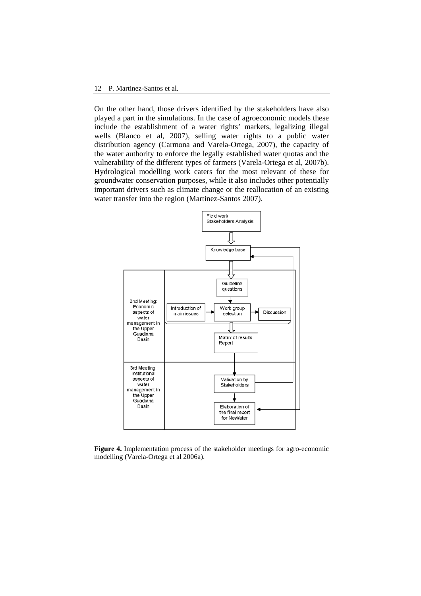On the other hand, those drivers identified by the stakeholders have also played a part in the simulations. In the case of agroeconomic models these include the establishment of a water rights' markets, legalizing illegal wells (Blanco et al, 2007), selling water rights to a public water distribution agency (Carmona and Varela-Ortega, 2007), the capacity of the water authority to enforce the legally established water quotas and the vulnerability of the different types of farmers (Varela-Ortega et al, 2007b). Hydrological modelling work caters for the most relevant of these for groundwater conservation purposes, while it also includes other potentially important drivers such as climate change or the reallocation of an existing water transfer into the region (Martinez-Santos 2007).



**Figure 4.** Implementation process of the stakeholder meetings for agro-economic modelling (Varela-Ortega et al 2006a).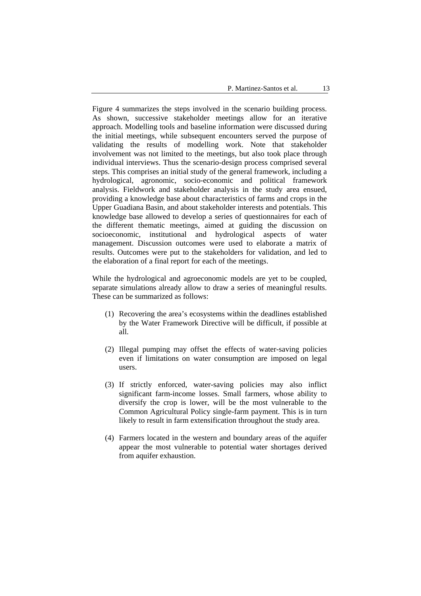Figure 4 summarizes the steps involved in the scenario building process. As shown, successive stakeholder meetings allow for an iterative approach. Modelling tools and baseline information were discussed during the initial meetings, while subsequent encounters served the purpose of validating the results of modelling work. Note that stakeholder involvement was not limited to the meetings, but also took place through individual interviews. Thus the scenario-design process comprised several steps. This comprises an initial study of the general framework, including a hydrological, agronomic, socio-economic and political framework analysis. Fieldwork and stakeholder analysis in the study area ensued, providing a knowledge base about characteristics of farms and crops in the Upper Guadiana Basin, and about stakeholder interests and potentials. This knowledge base allowed to develop a series of questionnaires for each of the different thematic meetings, aimed at guiding the discussion on socioeconomic, institutional and hydrological aspects of water management. Discussion outcomes were used to elaborate a matrix of results. Outcomes were put to the stakeholders for validation, and led to the elaboration of a final report for each of the meetings.

While the hydrological and agroeconomic models are yet to be coupled, separate simulations already allow to draw a series of meaningful results. These can be summarized as follows:

- (1) Recovering the area's ecosystems within the deadlines established by the Water Framework Directive will be difficult, if possible at all.
- (2) Illegal pumping may offset the effects of water-saving policies even if limitations on water consumption are imposed on legal users.
- (3) If strictly enforced, water-saving policies may also inflict significant farm-income losses. Small farmers, whose ability to diversify the crop is lower, will be the most vulnerable to the Common Agricultural Policy single-farm payment. This is in turn likely to result in farm extensification throughout the study area.
- (4) Farmers located in the western and boundary areas of the aquifer appear the most vulnerable to potential water shortages derived from aquifer exhaustion.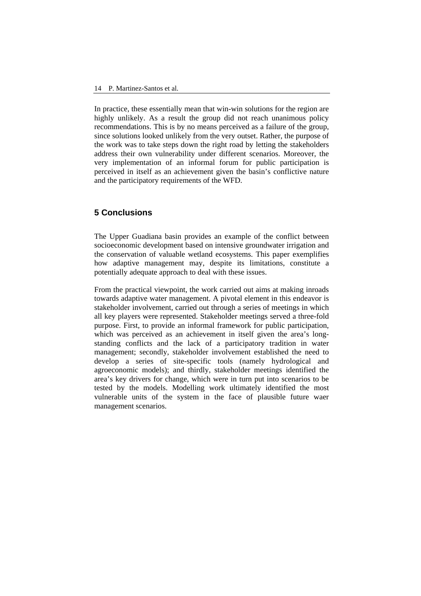In practice, these essentially mean that win-win solutions for the region are highly unlikely. As a result the group did not reach unanimous policy recommendations. This is by no means perceived as a failure of the group, since solutions looked unlikely from the very outset. Rather, the purpose of the work was to take steps down the right road by letting the stakeholders address their own vulnerability under different scenarios. Moreover, the very implementation of an informal forum for public participation is perceived in itself as an achievement given the basin's conflictive nature and the participatory requirements of the WFD.

# **5 Conclusions**

The Upper Guadiana basin provides an example of the conflict between socioeconomic development based on intensive groundwater irrigation and the conservation of valuable wetland ecosystems. This paper exemplifies how adaptive management may, despite its limitations, constitute a potentially adequate approach to deal with these issues.

From the practical viewpoint, the work carried out aims at making inroads towards adaptive water management. A pivotal element in this endeavor is stakeholder involvement, carried out through a series of meetings in which all key players were represented. Stakeholder meetings served a three-fold purpose. First, to provide an informal framework for public participation, which was perceived as an achievement in itself given the area's longstanding conflicts and the lack of a participatory tradition in water management; secondly, stakeholder involvement established the need to develop a series of site-specific tools (namely hydrological and agroeconomic models); and thirdly, stakeholder meetings identified the area's key drivers for change, which were in turn put into scenarios to be tested by the models. Modelling work ultimately identified the most vulnerable units of the system in the face of plausible future waer management scenarios.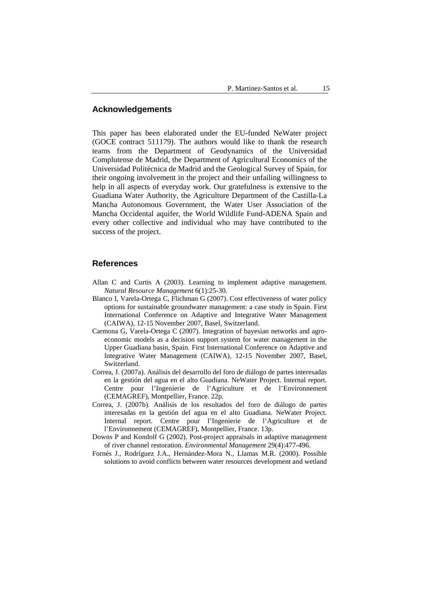#### **Acknowledgements**

This paper has been elaborated under the EU-funded NeWater project (GOCE contract 511179). The authors would like to thank the research teams from the Department of Geodynamics of the Universidad Complutense de Madrid, the Department of Agricultural Economics of the Universidad Politécnica de Madrid and the Geological Survey of Spain, for their ongoing involvement in the project and their unfailing willingness to help in all aspects of everyday work. Our gratefulness is extensive to the Guadiana Water Authority, the Agriculture Department of the Castilla-La Mancha Autonomous Government, the Water User Association of the Mancha Occidental aquifer, the World Wildlife Fund-ADENA Spain and every other collective and individual who may have contributed to the success of the project.

#### **References**

- Allan C and Curtis A (2003). Learning to implement adaptive management. *Natural Resource Management* 6(1):25-30.
- Blanco I, Varela-Ortega C, Flichman G (2007). Cost effectiveness of water policy options for sustainable groundwater management: a case study in Spain. First International Conference on Adaptive and Integrative Water Management (CAIWA), 12-15 November 2007, Basel, Switzerland.
- Carmona G, Varela-Ortega C (2007). Integration of bayesian networks and agroeconomic models as a decision support system for water management in the Upper Guadiana basin, Spain. First International Conference on Adaptive and Integrative Water Management (CAIWA), 12-15 November 2007, Basel, Switzerland.
- Correa, J. (2007a). Análisis del desarrollo del foro de diálogo de partes interesadas en la gestión del agua en el alto Guadiana. NeWater Project. Internal report. Centre pour l'Ingenierie de l'Agriculture et de l'Environnement (CEMAGREF), Montpellier, France. 22p.
- Correa, J. (2007b). Análisis de los resultados del foro de diálogo de partes interesadas en la gestión del agua en el alto Guadiana. NeWater Project. Internal report. Centre pour l'Ingenierie de l'Agriculture et de l'Environnement (CEMAGREF), Montpellier, France. 13p.
- Downs P and Kondolf G (2002). Post-project appraisals in adaptive management of river channel restoration. *Environmental Management* 29(4):477-496.
- Fornés J., Rodríguez J.A., Hernández-Mora N., Llamas M.R. (2000). Possible solutions to avoid conflicts between water resources development and wetland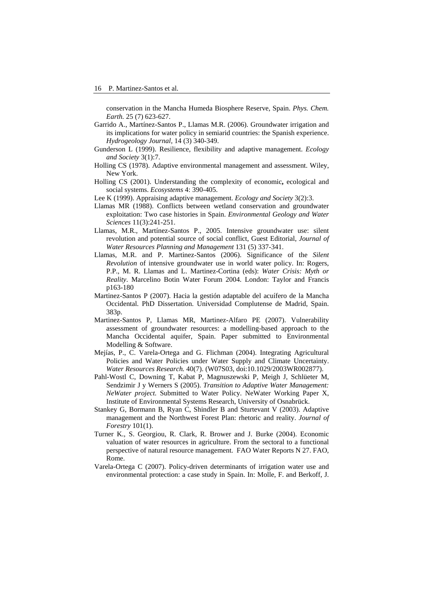conservation in the Mancha Humeda Biosphere Reserve, Spain. *Phys. Chem. Earth.* 25 (7) 623-627.

- Garrido A., Martínez-Santos P., Llamas M.R. (2006). Groundwater irrigation and its implications for water policy in semiarid countries: the Spanish experience. *Hydrogeology Journal,* 14 (3) 340-349.
- Gunderson L (1999). Resilience, flexibility and adaptive management. *Ecology and Society* 3(1):7.
- Holling CS (1978). Adaptive environmental management and assessment. Wiley, New York.
- Holling CS (2001). Understanding the complexity of economic**,** ecological and social systems. *Ecosystems* 4: 390-405.
- Lee K (1999). Appraising adaptive management. *Ecology and Society* 3(2):3.
- Llamas MR (1988). Conflicts between wetland conservation and groundwater exploitation: Two case histories in Spain. *Environmental Geology and Water Sciences* 11(3):241-251.
- Llamas, M.R., Martínez-Santos P., 2005. Intensive groundwater use: silent revolution and potential source of social conflict, Guest Editorial, *Journal of Water Resources Planning and Management* 131 (5) 337-341.
- Llamas, M.R. and P. Martinez-Santos (2006). Significance of the *Silent Revolution* of intensive groundwater use in world water policy. In: Rogers, P.P., M. R. Llamas and L. Martinez-Cortina (eds): *Water Crisis: Myth or Reality*. Marcelino Botin Water Forum 2004. London: Taylor and Francis p163-180
- Martinez-Santos P (2007). Hacia la gestión adaptable del acuífero de la Mancha Occidental. PhD Dissertation. Universidad Complutense de Madrid, Spain. 383p.
- Martinez-Santos P, Llamas MR, Martinez-Alfaro PE (2007). Vulnerability assessment of groundwater resources: a modelling-based approach to the Mancha Occidental aquifer, Spain. Paper submitted to Environmental Modelling & Software.
- Mejías, P., C. Varela-Ortega and G. Flichman (2004). Integrating Agricultural Policies and Water Policies under Water Supply and Climate Uncertainty. *Water Resources Research.* 40(7). (W07S03, doi:10.1029/2003WR002877).
- Pahl-Wostl C, Downing T, Kabat P, Magnuszewski P, Meigh J, Schlüeter M, Sendzimir J y Werners S (2005). *Transition to Adaptive Water Management: NeWater project.* Submitted to Water Policy. NeWater Working Paper X, Institute of Environmental Systems Research, University of Osnabrück.
- Stankey G, Bormann B, Ryan C, Shindler B and Sturtevant V (2003). Adaptive management and the Northwest Forest Plan: rhetoric and reality. *Journal of Forestry* 101(1).
- Turner K., S. Georgiou, R. Clark, R. Brower and J. Burke (2004). Economic valuation of water resources in agriculture. From the sectoral to a functional perspective of natural resource management. FAO Water Reports N 27. FAO, Rome.
- Varela-Ortega C (2007). Policy-driven determinants of irrigation water use and environmental protection: a case study in Spain. In: Molle, F. and Berkoff, J.